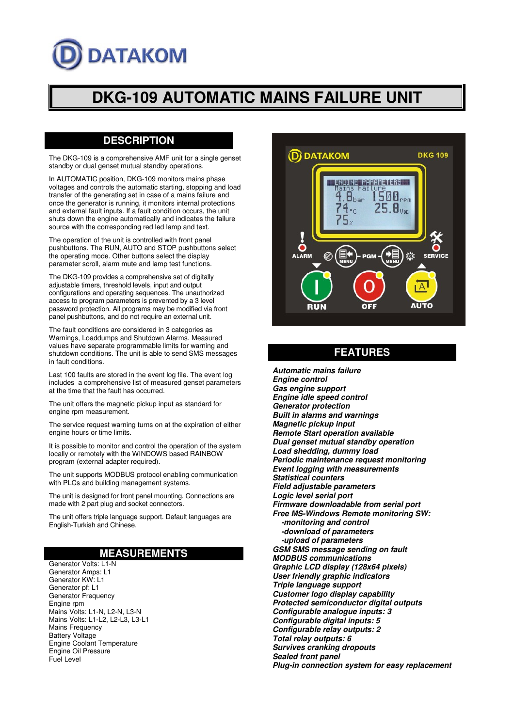# **DATAKOM**

# **DKG-109 AUTOMATIC MAINS FAILURE UNIT**

# **DESCRIPTION**

The DKG-109 is a comprehensive AMF unit for a single genset standby or dual genset mutual standby operations.

In AUTOMATIC position, DKG-109 monitors mains phase voltages and controls the automatic starting, stopping and load transfer of the generating set in case of a mains failure and once the generator is running, it monitors internal protections and external fault inputs. If a fault condition occurs, the unit shuts down the engine automatically and indicates the failure source with the corresponding red led lamp and text.

The operation of the unit is controlled with front panel pushbuttons. The RUN, AUTO and STOP pushbuttons select the operating mode. Other buttons select the display parameter scroll, alarm mute and lamp test functions.

The DKG-109 provides a comprehensive set of digitally adjustable timers, threshold levels, input and output configurations and operating sequences. The unauthorized access to program parameters is prevented by a 3 level password protection. All programs may be modified via front panel pushbuttons, and do not require an external unit.

The fault conditions are considered in 3 categories as Warnings, Loaddumps and Shutdown Alarms. Measured values have separate programmable limits for warning and shutdown conditions. The unit is able to send SMS messages in fault conditions.

Last 100 faults are stored in the event log file. The event log includes a comprehensive list of measured genset parameters at the time that the fault has occurred.

The unit offers the magnetic pickup input as standard for engine rpm measurement.

The service request warning turns on at the expiration of either engine hours or time limits.

It is possible to monitor and control the operation of the system locally or remotely with the WINDOWS based RAINBOW program (external adapter required).

The unit supports MODBUS protocol enabling communication with PLCs and building management systems.

The unit is designed for front panel mounting. Connections are made with 2 part plug and socket connectors.

The unit offers triple language support. Default languages are English-Turkish and Chinese.

### **MEASUREMENTS**

Generator Volts: L1-N Generator Amps: L1 Generator KW: L1 Generator pf: L1 Generator Frequency Engine rpm Mains Volts: L1-N, L2-N, L3-N Mains Volts: L1-L2, L2-L3, L3-L1 Mains Frequency Battery Voltage Engine Coolant Temperature Engine Oil Pressure Fuel Level



## **FEATURES**

**Automatic mains failure Engine control Gas engine support Engine idle speed control Generator protection Built in alarms and warnings Magnetic pickup input Remote Start operation available Dual genset mutual standby operation Load shedding, dummy load Periodic maintenance request monitoring Event logging with measurements Statistical counters Field adjustable parameters Logic level serial port Firmware downloadable from serial port Free MS-Windows Remote monitoring SW: -monitoring and control -download of parameters -upload of parameters GSM SMS message sending on fault MODBUS communications Graphic LCD display (128x64 pixels) User friendly graphic indicators Triple language support Customer logo display capability Protected semiconductor digital outputs Configurable analogue inputs: 3 Configurable digital inputs: 5 Configurable relay outputs: 2 Total relay outputs: 6 Survives cranking dropouts Sealed front panel Plug-in connection system for easy replacement**